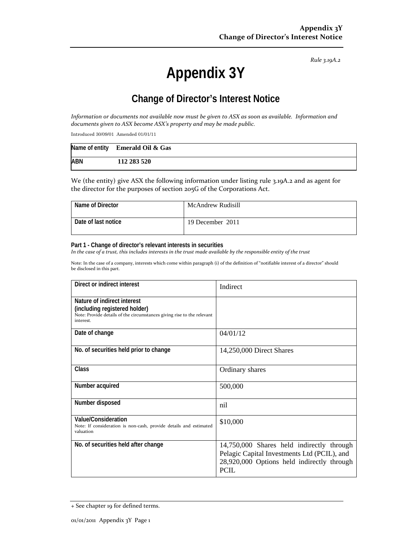*Rule 3.19A.2*

# **Appendix 3Y**

# **Change of Director's Interest Notice**

Information or documents not available now must be given to ASX as soon as available. Information and *documents given to ASX become ASX's property and may be made public.*

Introduced 30/09/01 Amended 01/01/11

|            | Name of entity Emerald Oil $\&$ Gas |
|------------|-------------------------------------|
| <b>ABN</b> | 112 283 520                         |

We (the entity) give ASX the following information under listing rule 3.19A.2 and as agent for the director for the purposes of section 205G of the Corporations Act.

| Name of Director    | McAndrew Rudisill |
|---------------------|-------------------|
| Date of last notice | 19 December 2011  |

#### **Part 1 - Change of director's relevant interests in securities**

In the case of a trust, this includes interests in the trust made available by the responsible entity of the trust

Note: In the case of a company, interests which come within paragraph (i) of the definition of "notifiable interest of a director" should be disclosed in this part.

| Direct or indirect interest                                                                                                                         | Indirect                                                                                                                                              |  |
|-----------------------------------------------------------------------------------------------------------------------------------------------------|-------------------------------------------------------------------------------------------------------------------------------------------------------|--|
| Nature of indirect interest<br>(including registered holder)<br>Note: Provide details of the circumstances giving rise to the relevant<br>interest. |                                                                                                                                                       |  |
| Date of change                                                                                                                                      | 04/01/12                                                                                                                                              |  |
| No. of securities held prior to change                                                                                                              | 14,250,000 Direct Shares                                                                                                                              |  |
| Class                                                                                                                                               | Ordinary shares                                                                                                                                       |  |
| Number acquired                                                                                                                                     | 500,000                                                                                                                                               |  |
| Number disposed                                                                                                                                     | nil                                                                                                                                                   |  |
| <b>Value/Consideration</b><br>Note: If consideration is non-cash, provide details and estimated<br>valuation                                        | \$10,000                                                                                                                                              |  |
| No. of securities held after change                                                                                                                 | 14,750,000 Shares held indirectly through<br>Pelagic Capital Investments Ltd (PCIL), and<br>28,920,000 Options held indirectly through<br><b>PCIL</b> |  |

<sup>+</sup> See chapter 19 for defined terms.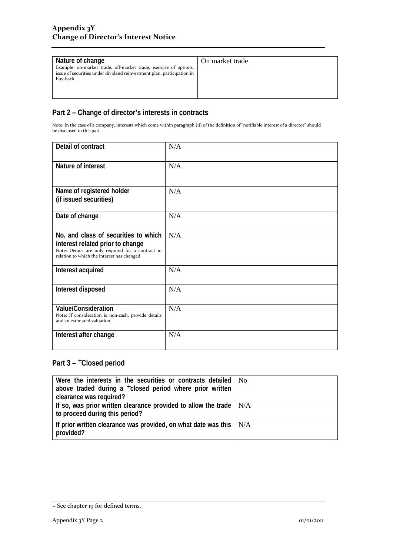| Nature of change<br>Example: on-market trade, off-market trade, exercise of options,<br>issue of securities under dividend reinvestment plan, participation in | On market trade |
|----------------------------------------------------------------------------------------------------------------------------------------------------------------|-----------------|
| buy-back                                                                                                                                                       |                 |

# **Part 2 – Change of director's interests in contracts**

Note: In the case of a company, interests which come within paragraph (ii) of the definition of "notifiable interest of a director" should be disclosed in this part.

| Detail of contract                                                                                                                                                          | N/A |
|-----------------------------------------------------------------------------------------------------------------------------------------------------------------------------|-----|
| Nature of interest                                                                                                                                                          | N/A |
| Name of registered holder<br>(if issued securities)                                                                                                                         | N/A |
| Date of change                                                                                                                                                              | N/A |
| No. and class of securities to which<br>interest related prior to change<br>Note: Details are only required for a contract in<br>relation to which the interest has changed | N/A |
| Interest acquired                                                                                                                                                           | N/A |
| Interest disposed                                                                                                                                                           | N/A |
| <b>Value/Consideration</b><br>Note: If consideration is non-cash, provide details<br>and an estimated valuation                                                             | N/A |
| Interest after change                                                                                                                                                       | N/A |

## Part 3 - <sup>+</sup>Closed period

| Were the interests in the securities or contracts detailed   No                                             |  |
|-------------------------------------------------------------------------------------------------------------|--|
| above traded during a $+$ closed period where prior written                                                 |  |
| clearance was required?                                                                                     |  |
| If so, was prior written clearance provided to allow the trade $\mid N/A$<br>to proceed during this period? |  |
| If prior written clearance was provided, on what date was this $\mid N/A$<br>provided?                      |  |

<sup>+</sup> See chapter 19 for defined terms.